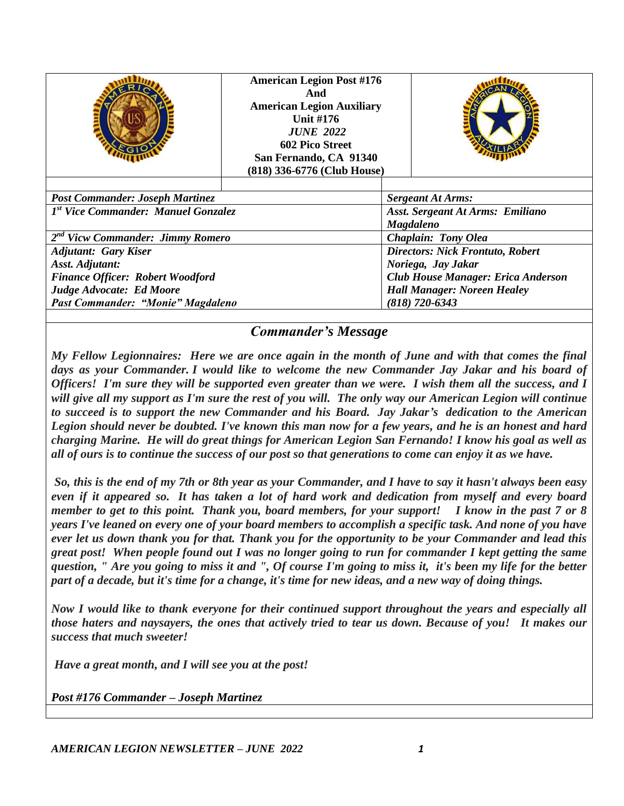|                                         | <b>American Legion Post #176</b><br>And<br><b>American Legion Auxiliary</b><br><b>Unit #176</b><br><b>JUNE 2022</b><br>602 Pico Street<br>San Fernando, CA 91340<br>(818) 336-6776 (Club House) |                                           |                                    |  |  |
|-----------------------------------------|-------------------------------------------------------------------------------------------------------------------------------------------------------------------------------------------------|-------------------------------------------|------------------------------------|--|--|
| <b>Post Commander: Joseph Martinez</b>  |                                                                                                                                                                                                 |                                           | <b>Sergeant At Arms:</b>           |  |  |
| 1st Vice Commander: Manuel Gonzalez     |                                                                                                                                                                                                 | Asst. Sergeant At Arms: Emiliano          |                                    |  |  |
|                                         |                                                                                                                                                                                                 |                                           | <b>Magdaleno</b>                   |  |  |
| $2nd$ Vicw Commander: Jimmy Romero      |                                                                                                                                                                                                 | <b>Chaplain: Tony Olea</b>                |                                    |  |  |
| <b>Adjutant: Gary Kiser</b>             |                                                                                                                                                                                                 | <b>Directors: Nick Frontuto, Robert</b>   |                                    |  |  |
| <b>Asst. Adjutant:</b>                  |                                                                                                                                                                                                 | Noriega, Jay Jakar                        |                                    |  |  |
| <b>Finance Officer: Robert Woodford</b> |                                                                                                                                                                                                 | <b>Club House Manager: Erica Anderson</b> |                                    |  |  |
| Judge Advocate: Ed Moore                |                                                                                                                                                                                                 |                                           | <b>Hall Manager: Noreen Healey</b> |  |  |
| Past Commander: "Monie" Magdaleno       |                                                                                                                                                                                                 |                                           | $(818)$ 720-6343                   |  |  |

#### *Commander's Message*

*My Fellow Legionnaires: Here we are once again in the month of June and with that comes the final days as your Commander. I would like to welcome the new Commander Jay Jakar and his board of Officers! I'm sure they will be supported even greater than we were. I wish them all the success, and I will give all my support as I'm sure the rest of you will. The only way our American Legion will continue to succeed is to support the new Commander and his Board. Jay Jakar's dedication to the American Legion should never be doubted. I've known this man now for a few years, and he is an honest and hard charging Marine. He will do great things for American Legion San Fernando! I know his goal as well as all of ours is to continue the success of our post so that generations to come can enjoy it as we have.*

*So, this is the end of my 7th or 8th year as your Commander, and I have to say it hasn't always been easy even if it appeared so. It has taken a lot of hard work and dedication from myself and every board member to get to this point. Thank you, board members, for your support! I know in the past 7 or 8 years I've leaned on every one of your board members to accomplish a specific task. And none of you have ever let us down thank you for that. Thank you for the opportunity to be your Commander and lead this great post! When people found out I was no longer going to run for commander I kept getting the same question, " Are you going to miss it and ", Of course I'm going to miss it, it's been my life for the better part of a decade, but it's time for a change, it's time for new ideas, and a new way of doing things.*

*Now I would like to thank everyone for their continued support throughout the years and especially all those haters and naysayers, the ones that actively tried to tear us down. Because of you! It makes our success that much sweeter!* 

*Have a great month, and I will see you at the post!*

*Post #176 Commander – Joseph Martinez*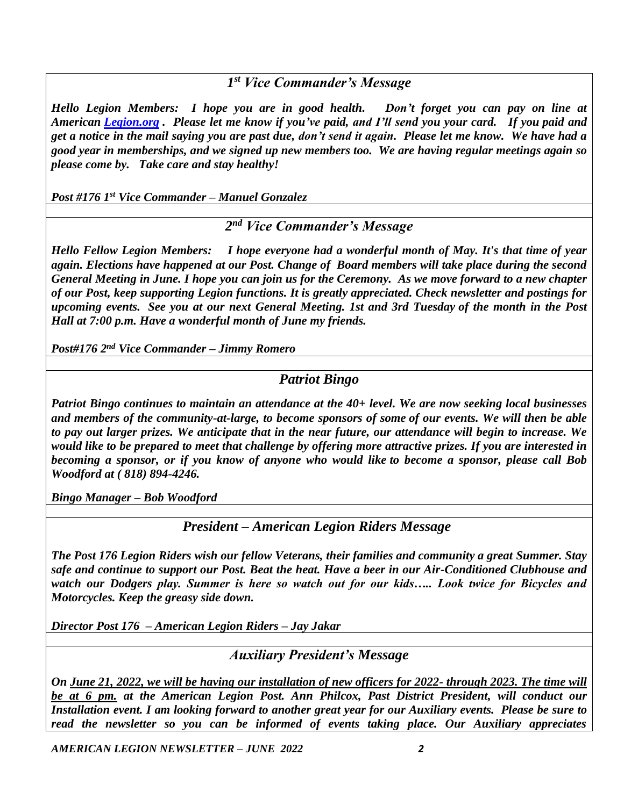*1 st Vice Commander's Message*

*Hello Legion Members: I hope you are in good health. Don't forget you can pay on line at American [Legion.org](http://legion.org/) . Please let me know if you've paid, and I'll send you your card. If you paid and get a notice in the mail saying you are past due, don't send it again. Please let me know. We have had a good year in memberships, and we signed up new members too. We are having regular meetings again so please come by. Take care and stay healthy!*

*Post #176 1st Vice Commander – Manuel Gonzalez*

*2 nd Vice Commander's Message*

*Hello Fellow Legion Members: I hope everyone had a wonderful month of May. It's that time of year again. Elections have happened at our Post. Change of Board members will take place during the second General Meeting in June. I hope you can join us for the Ceremony. As we move forward to a new chapter of our Post, keep supporting Legion functions. It is greatly appreciated. Check newsletter and postings for upcoming events. See you at our next General Meeting. 1st and 3rd Tuesday of the month in the Post Hall at 7:00 p.m. Have a wonderful month of June my friends.*

*Post#176 2nd Vice Commander – Jimmy Romero*

#### *Patriot Bingo*

*Patriot Bingo continues to maintain an attendance at the 40+ level. We are now seeking local businesses and members of the community-at-large, to become sponsors of some of our events. We will then be able to pay out larger prizes. We anticipate that in the near future, our attendance will begin to increase. We would like to be prepared to meet that challenge by offering more attractive prizes. If you are interested in becoming a sponsor, or if you know of anyone who would like to become a sponsor, please call Bob Woodford at ( 818) 894-4246.*

*Bingo Manager – Bob Woodford*

*President – American Legion Riders Message*

*The Post 176 Legion Riders wish our fellow Veterans, their families and community a great Summer. Stay safe and continue to support our Post. Beat the heat. Have a beer in our Air-Conditioned Clubhouse and watch our Dodgers play. Summer is here so watch out for our kids….. Look twice for Bicycles and Motorcycles. Keep the greasy side down.*

*Director Post 176 – American Legion Riders – Jay Jakar*

*Auxiliary President's Message*

*On June 21, 2022, we will be having our installation of new officers for 2022- through 2023. The time will be at 6 pm. at the American Legion Post. Ann Philcox, Past District President, will conduct our Installation event. I am looking forward to another great year for our Auxiliary events. Please be sure to read the newsletter so you can be informed of events taking place. Our Auxiliary appreciates* 

*AMERICAN LEGION NEWSLETTER – JUNE 2022 2*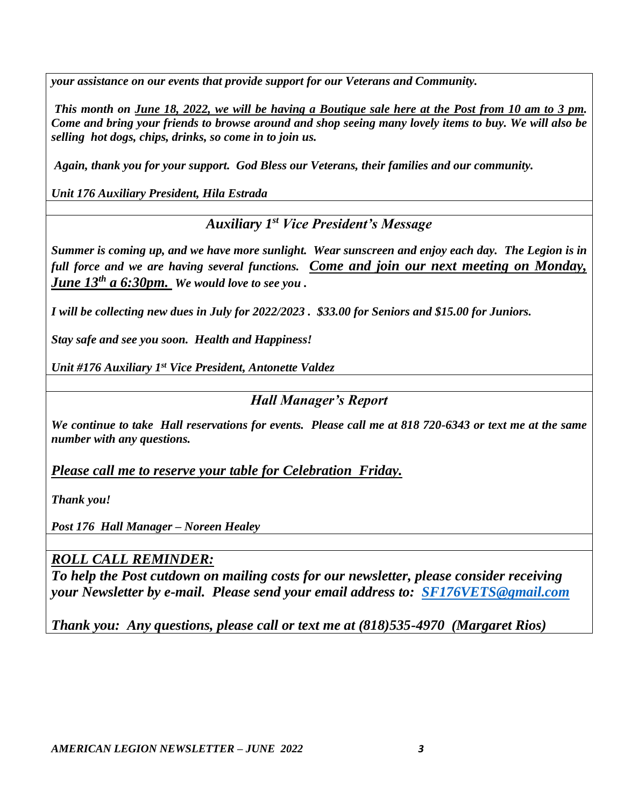*your assistance on our events that provide support for our Veterans and Community.*

*This month on June 18, 2022, we will be having a Boutique sale here at the Post from 10 am to 3 pm. Come and bring your friends to browse around and shop seeing many lovely items to buy. We will also be selling hot dogs, chips, drinks, so come in to join us.*

*Again, thank you for your support. God Bless our Veterans, their families and our community.*

*Unit 176 Auxiliary President, Hila Estrada*

*Auxiliary 1st Vice President's Message* 

*Summer is coming up, and we have more sunlight. Wear sunscreen and enjoy each day. The Legion is in full force and we are having several functions. Come and join our next meeting on Monday, June 13th a 6:30pm. We would love to see you .*

*I will be collecting new dues in July for 2022/2023 . \$33.00 for Seniors and \$15.00 for Juniors.*

*Stay safe and see you soon. Health and Happiness!*

*Unit #176 Auxiliary 1st Vice President, Antonette Valdez*

*Hall Manager's Report*

*We continue to take Hall reservations for events. Please call me at 818 720-6343 or text me at the same number with any questions.* 

*Please call me to reserve your table for Celebration Friday.*

*Thank you!*

*Post 176 Hall Manager – Noreen Healey*

### *ROLL CALL REMINDER:*

*To help the Post cutdown on mailing costs for our newsletter, please consider receiving your Newsletter by e-mail. Please send your email address to: [SF176VETS@gmail.com](mailto:SF176VETS@gmail.com)*

*Thank you: Any questions, please call or text me at (818)535-4970 (Margaret Rios)*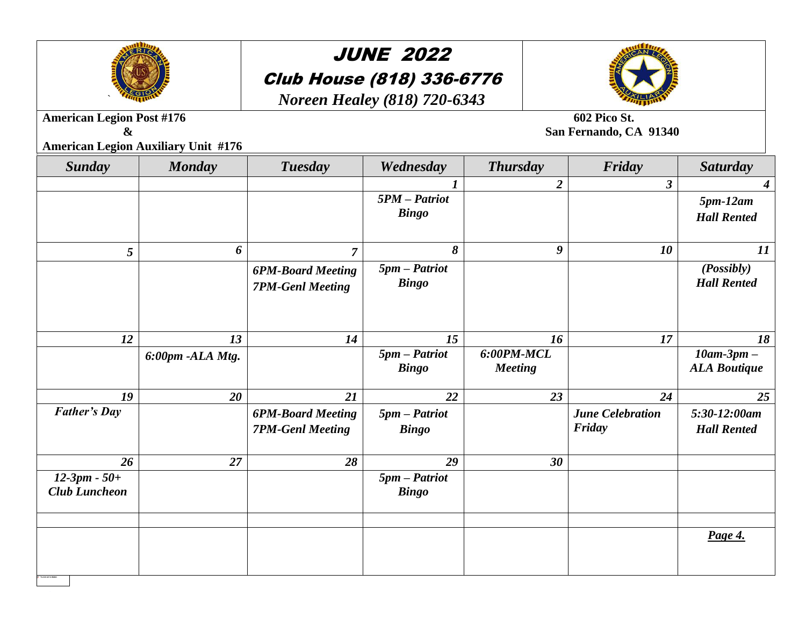

## JUNE 2022 Club House (818) 336-6776

*Noreen Healey (818) 720-6343*



**American Legion Post #176** 602 Pico St.

**& San Fernando, CA 91340**

**American Legion Auxiliary Unit #176**

| <b>Sunday</b>                          | <b>Monday</b>    | <b>Tuesday</b>                                      | Wednesday                       | <b>Thursday</b>                | Friday                            | <b>Saturday</b>                            |
|----------------------------------------|------------------|-----------------------------------------------------|---------------------------------|--------------------------------|-----------------------------------|--------------------------------------------|
|                                        |                  |                                                     |                                 | $\boldsymbol{2}$               | $\boldsymbol{\beta}$              | $\boldsymbol{4}$                           |
|                                        |                  |                                                     | $5PM - Patrick$<br><b>Bingo</b> |                                |                                   | $5pm-12am$                                 |
|                                        |                  |                                                     |                                 |                                |                                   | <b>Hall Rented</b>                         |
| 5                                      | 6                | $\overline{7}$                                      | 8                               | 9                              | 10                                | 11                                         |
|                                        |                  | <b>6PM-Board Meeting</b><br><b>7PM-Genl Meeting</b> | $5pm$ - Patriot<br><b>Bingo</b> |                                |                                   | (Posibly)<br><b>Hall Rented</b>            |
| 12                                     | 13               | 14                                                  | 15                              | 16                             | 17                                | 18                                         |
|                                        | 6:00pm -ALA Mtg. |                                                     | $5pm$ - Patriot<br><b>Bingo</b> | $6:00PM-MCL$<br><b>Meeting</b> |                                   | $10$ am- $3$ pm $-$<br><b>ALA Boutique</b> |
| 19                                     | 20               | 21                                                  | 22                              | 23                             | 24                                | 25                                         |
| <b>Father's Day</b>                    |                  | <b>6PM-Board Meeting</b><br><b>7PM-Genl Meeting</b> | $5pm$ - Patriot<br><b>Bingo</b> |                                | <b>June Celebration</b><br>Friday | $5:30-12:00$ am<br><b>Hall Rented</b>      |
| 26                                     | 27               | 28                                                  | 29                              | 30                             |                                   |                                            |
| $12-3pm - 50+$<br><b>Club Luncheon</b> |                  |                                                     | $5pm$ - Patriot<br><b>Bingo</b> |                                |                                   |                                            |
|                                        |                  |                                                     |                                 |                                |                                   |                                            |
|                                        |                  |                                                     |                                 |                                |                                   | Page 4.                                    |
|                                        |                  |                                                     |                                 |                                |                                   |                                            |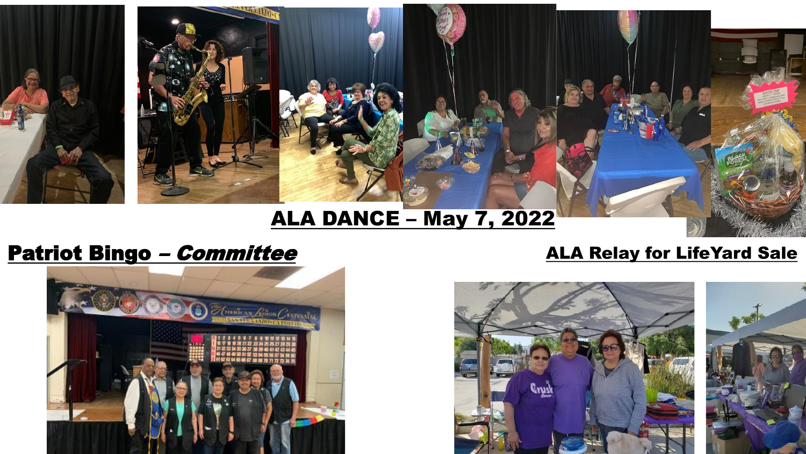

# ALA DANCE – May 7, 2022

# Patriot Bingo – *Committee* ALA Relay for LifeYard Sale

**SUBRICAN ACHOIS CENTERNIAL**